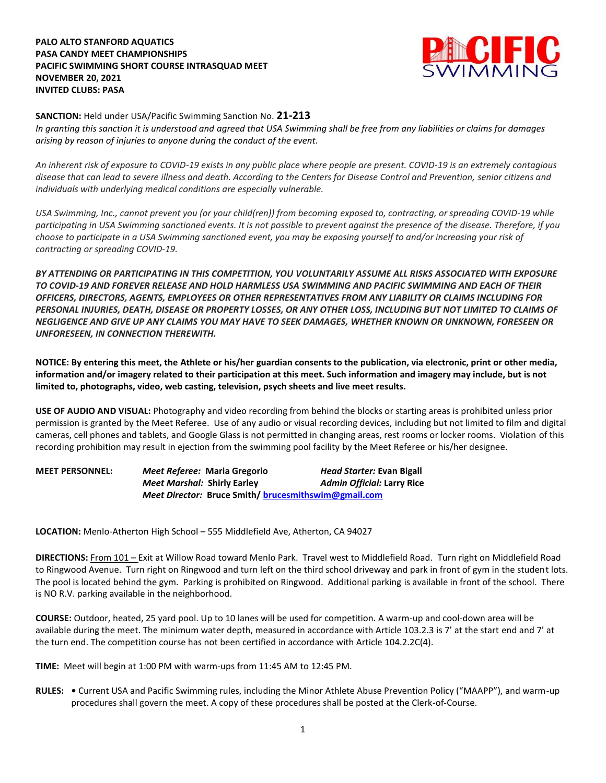## **PALO ALTO STANFORD AQUATICS PASA CANDY MEET CHAMPIONSHIPS PACIFIC SWIMMING SHORT COURSE INTRASQUAD MEET NOVEMBER 20, 2021 INVITED CLUBS: PASA**



## **SANCTION:** Held under USA/Pacific Swimming Sanction No. **21-213**

*In granting this sanction it is understood and agreed that USA Swimming shall be free from any liabilities or claims for damages arising by reason of injuries to anyone during the conduct of the event.*

*An inherent risk of exposure to COVID-19 exists in any public place where people are present. COVID-19 is an extremely contagious disease that can lead to severe illness and death. According to the Centers for Disease Control and Prevention, senior citizens and individuals with underlying medical conditions are especially vulnerable.*

*USA Swimming, Inc., cannot prevent you (or your child(ren)) from becoming exposed to, contracting, or spreading COVID-19 while participating in USA Swimming sanctioned events. It is not possible to prevent against the presence of the disease. Therefore, if you choose to participate in a USA Swimming sanctioned event, you may be exposing yourself to and/or increasing your risk of contracting or spreading COVID-19.*

*BY ATTENDING OR PARTICIPATING IN THIS COMPETITION, YOU VOLUNTARILY ASSUME ALL RISKS ASSOCIATED WITH EXPOSURE TO COVID-19 AND FOREVER RELEASE AND HOLD HARMLESS USA SWIMMING AND PACIFIC SWIMMING AND EACH OF THEIR OFFICERS, DIRECTORS, AGENTS, EMPLOYEES OR OTHER REPRESENTATIVES FROM ANY LIABILITY OR CLAIMS INCLUDING FOR PERSONAL INJURIES, DEATH, DISEASE OR PROPERTY LOSSES, OR ANY OTHER LOSS, INCLUDING BUT NOT LIMITED TO CLAIMS OF NEGLIGENCE AND GIVE UP ANY CLAIMS YOU MAY HAVE TO SEEK DAMAGES, WHETHER KNOWN OR UNKNOWN, FORESEEN OR UNFORESEEN, IN CONNECTION THEREWITH.*

**NOTICE: By entering this meet, the Athlete or his/her guardian consents to the publication, via electronic, print or other media, information and/or imagery related to their participation at this meet. Such information and imagery may include, but is not limited to, photographs, video, web casting, television, psych sheets and live meet results.** 

**USE OF AUDIO AND VISUAL:** Photography and video recording from behind the blocks or starting areas is prohibited unless prior permission is granted by the Meet Referee. Use of any audio or visual recording devices, including but not limited to film and digital cameras, cell phones and tablets, and Google Glass is not permitted in changing areas, rest rooms or locker rooms. Violation of this recording prohibition may result in ejection from the swimming pool facility by the Meet Referee or his/her designee.

| <b>MEET PERSONNEL:</b> | Meet Referee: Maria Gregorio                        | Head Starter: Evan Bigall         |
|------------------------|-----------------------------------------------------|-----------------------------------|
|                        | <b>Meet Marshal: Shirly Earley</b>                  | <b>Admin Official: Larry Rice</b> |
|                        | Meet Director: Bruce Smith/brucesmithswim@gmail.com |                                   |

**LOCATION:** Menlo-Atherton High School – 555 Middlefield Ave, Atherton, CA 94027

**DIRECTIONS:** From 101 – Exit at Willow Road toward Menlo Park. Travel west to Middlefield Road. Turn right on Middlefield Road to Ringwood Avenue. Turn right on Ringwood and turn left on the third school driveway and park in front of gym in the student lots. The pool is located behind the gym. Parking is prohibited on Ringwood. Additional parking is available in front of the school. There is NO R.V. parking available in the neighborhood.

**COURSE:** Outdoor, heated, 25 yard pool. Up to 10 lanes will be used for competition. A warm-up and cool-down area will be available during the meet. The minimum water depth, measured in accordance with Article 103.2.3 is 7' at the start end and 7' at the turn end. The competition course has not been certified in accordance with Article 104.2.2C(4).

**TIME:** Meet will begin at 1:00 PM with warm-ups from 11:45 AM to 12:45 PM.

**RULES: •** Current USA and Pacific Swimming rules, including the Minor Athlete Abuse Prevention Policy ("MAAPP"), and warm-up procedures shall govern the meet. A copy of these procedures shall be posted at the Clerk-of-Course.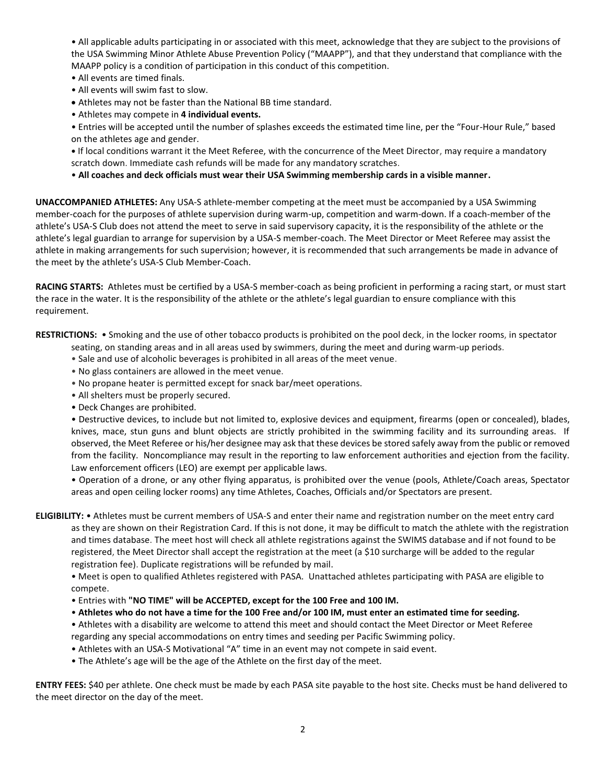• All applicable adults participating in or associated with this meet, acknowledge that they are subject to the provisions of the USA Swimming Minor Athlete Abuse Prevention Policy ("MAAPP"), and that they understand that compliance with the MAAPP policy is a condition of participation in this conduct of this competition.

- All events are timed finals.
- All events will swim fast to slow.
- Athletes may not be faster than the National BB time standard.
- Athletes may compete in **4 individual events.**

• Entries will be accepted until the number of splashes exceeds the estimated time line, per the "Four-Hour Rule," based on the athletes age and gender.

**•** If local conditions warrant it the Meet Referee, with the concurrence of the Meet Director, may require a mandatory scratch down. Immediate cash refunds will be made for any mandatory scratches.

• **All coaches and deck officials must wear their USA Swimming membership cards in a visible manner.** 

**UNACCOMPANIED ATHLETES:** Any USA-S athlete-member competing at the meet must be accompanied by a USA Swimming member-coach for the purposes of athlete supervision during warm-up, competition and warm-down. If a coach-member of the athlete's USA-S Club does not attend the meet to serve in said supervisory capacity, it is the responsibility of the athlete or the athlete's legal guardian to arrange for supervision by a USA-S member-coach. The Meet Director or Meet Referee may assist the athlete in making arrangements for such supervision; however, it is recommended that such arrangements be made in advance of the meet by the athlete's USA-S Club Member-Coach.

**RACING STARTS:** Athletes must be certified by a USA-S member-coach as being proficient in performing a racing start, or must start the race in the water. It is the responsibility of the athlete or the athlete's legal guardian to ensure compliance with this requirement.

**RESTRICTIONS:** • Smoking and the use of other tobacco products is prohibited on the pool deck, in the locker rooms, in spectator seating, on standing areas and in all areas used by swimmers, during the meet and during warm-up periods.

- Sale and use of alcoholic beverages is prohibited in all areas of the meet venue.
- No glass containers are allowed in the meet venue.
- No propane heater is permitted except for snack bar/meet operations.
- All shelters must be properly secured.
- Deck Changes are prohibited.

• Destructive devices, to include but not limited to, explosive devices and equipment, firearms (open or concealed), blades, knives, mace, stun guns and blunt objects are strictly prohibited in the swimming facility and its surrounding areas. If observed, the Meet Referee or his/her designee may ask that these devices be stored safely away from the public or removed from the facility. Noncompliance may result in the reporting to law enforcement authorities and ejection from the facility. Law enforcement officers (LEO) are exempt per applicable laws.

• Operation of a drone, or any other flying apparatus, is prohibited over the venue (pools, Athlete/Coach areas, Spectator areas and open ceiling locker rooms) any time Athletes, Coaches, Officials and/or Spectators are present.

**ELIGIBILITY:** • Athletes must be current members of USA-S and enter their name and registration number on the meet entry card as they are shown on their Registration Card. If this is not done, it may be difficult to match the athlete with the registration and times database. The meet host will check all athlete registrations against the SWIMS database and if not found to be registered, the Meet Director shall accept the registration at the meet (a \$10 surcharge will be added to the regular registration fee). Duplicate registrations will be refunded by mail.

• Meet is open to qualified Athletes registered with PASA. Unattached athletes participating with PASA are eligible to compete.

- Entries with **"NO TIME" will be ACCEPTED, except for the 100 Free and 100 IM.**
- **Athletes who do not have a time for the 100 Free and/or 100 IM, must enter an estimated time for seeding.**
- Athletes with a disability are welcome to attend this meet and should contact the Meet Director or Meet Referee regarding any special accommodations on entry times and seeding per Pacific Swimming policy.
- Athletes with an USA-S Motivational "A" time in an event may not compete in said event.
- The Athlete's age will be the age of the Athlete on the first day of the meet.

**ENTRY FEES:** \$40 per athlete. One check must be made by each PASA site payable to the host site. Checks must be hand delivered to the meet director on the day of the meet.